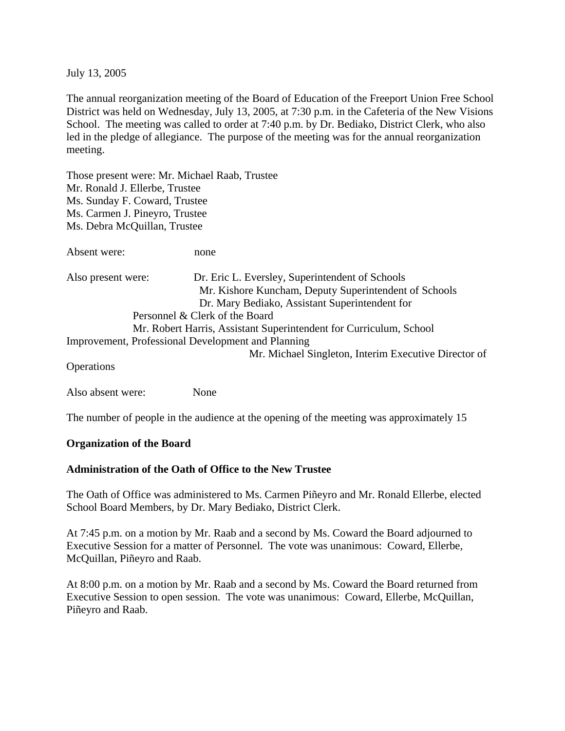July 13, 2005

The annual reorganization meeting of the Board of Education of the Freeport Union Free School District was held on Wednesday, July 13, 2005, at 7:30 p.m. in the Cafeteria of the New Visions School. The meeting was called to order at 7:40 p.m. by Dr. Bediako, District Clerk, who also led in the pledge of allegiance. The purpose of the meeting was for the annual reorganization meeting.

Those present were: Mr. Michael Raab, Trustee Mr. Ronald J. Ellerbe, Trustee Ms. Sunday F. Coward, Trustee Ms. Carmen J. Pineyro, Trustee Ms. Debra McQuillan, Trustee

Absent were: none

| Also present were: | Dr. Eric L. Eversley, Superintendent of Schools                    |
|--------------------|--------------------------------------------------------------------|
|                    | Mr. Kishore Kuncham, Deputy Superintendent of Schools              |
|                    | Dr. Mary Bediako, Assistant Superintendent for                     |
|                    | Personnel & Clerk of the Board                                     |
|                    | Mr. Robert Harris, Assistant Superintendent for Curriculum, School |
|                    | Improvement, Professional Development and Planning                 |
|                    | Mr. Michael Singleton, Interim Executive Director of               |
| <b>Operations</b>  |                                                                    |

Also absent were: None

The number of people in the audience at the opening of the meeting was approximately 15

### **Organization of the Board**

### **Administration of the Oath of Office to the New Trustee**

The Oath of Office was administered to Ms. Carmen Piñeyro and Mr. Ronald Ellerbe, elected School Board Members, by Dr. Mary Bediako, District Clerk.

At 7:45 p.m. on a motion by Mr. Raab and a second by Ms. Coward the Board adjourned to Executive Session for a matter of Personnel. The vote was unanimous: Coward, Ellerbe, McQuillan, Piñeyro and Raab.

At 8:00 p.m. on a motion by Mr. Raab and a second by Ms. Coward the Board returned from Executive Session to open session. The vote was unanimous: Coward, Ellerbe, McQuillan, Piñeyro and Raab.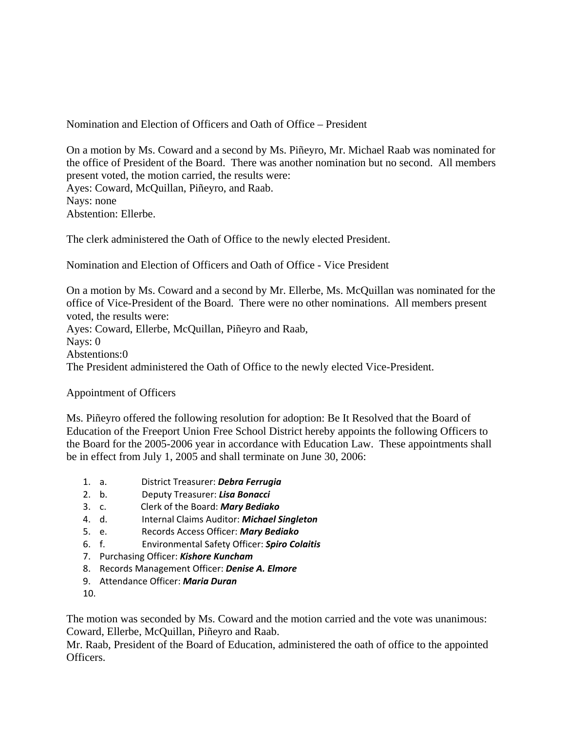Nomination and Election of Officers and Oath of Office – President

On a motion by Ms. Coward and a second by Ms. Piñeyro, Mr. Michael Raab was nominated for the office of President of the Board. There was another nomination but no second. All members present voted, the motion carried, the results were:

Ayes: Coward, McQuillan, Piñeyro, and Raab. Nays: none

Abstention: Ellerbe.

The clerk administered the Oath of Office to the newly elected President.

Nomination and Election of Officers and Oath of Office - Vice President

On a motion by Ms. Coward and a second by Mr. Ellerbe, Ms. McQuillan was nominated for the office of Vice-President of the Board. There were no other nominations. All members present voted, the results were: Ayes: Coward, Ellerbe, McQuillan, Piñeyro and Raab, Nays: 0 Abstentions:0 The President administered the Oath of Office to the newly elected Vice-President.

Appointment of Officers

Ms. Piñeyro offered the following resolution for adoption: Be It Resolved that the Board of Education of the Freeport Union Free School District hereby appoints the following Officers to the Board for the 2005-2006 year in accordance with Education Law. These appointments shall be in effect from July 1, 2005 and shall terminate on June 30, 2006:

- 1. a. District Treasurer: *Debra Ferrugia*
- 2. b. Deputy Treasurer: *Lisa Bonacci*
- 3. c. Clerk of the Board: *Mary Bediako*
- 4. d. Internal Claims Auditor: *Michael Singleton*
- 5. e. Records Access Officer: *Mary Bediako*
- 6. f. Environmental Safety Officer: *Spiro Colaitis*
- 7. Purchasing Officer: *Kishore Kuncham*
- 8. Records Management Officer: *Denise A. Elmore*
- 9. Attendance Officer: *Maria Duran*
- 10.

The motion was seconded by Ms. Coward and the motion carried and the vote was unanimous: Coward, Ellerbe, McQuillan, Piñeyro and Raab.

Mr. Raab, President of the Board of Education, administered the oath of office to the appointed Officers.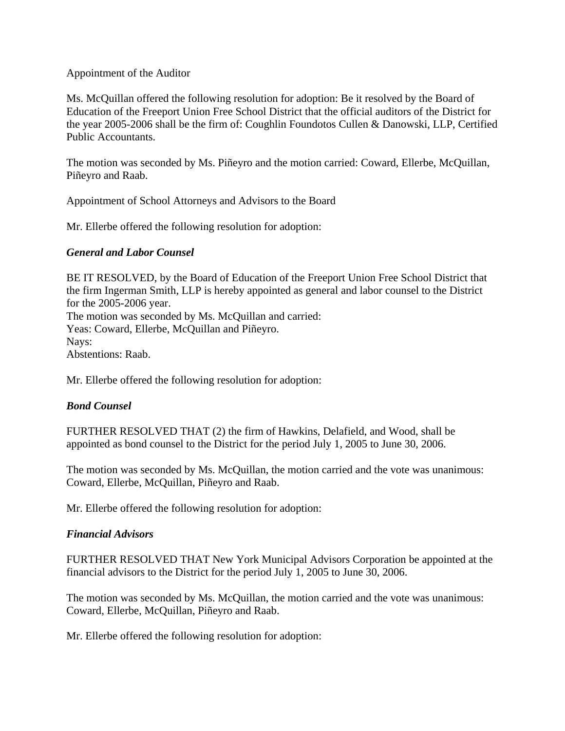### Appointment of the Auditor

Ms. McQuillan offered the following resolution for adoption: Be it resolved by the Board of Education of the Freeport Union Free School District that the official auditors of the District for the year 2005-2006 shall be the firm of: Coughlin Foundotos Cullen & Danowski, LLP, Certified Public Accountants.

The motion was seconded by Ms. Piñeyro and the motion carried: Coward, Ellerbe, McQuillan, Piñeyro and Raab.

Appointment of School Attorneys and Advisors to the Board

Mr. Ellerbe offered the following resolution for adoption:

## *General and Labor Counsel*

BE IT RESOLVED, by the Board of Education of the Freeport Union Free School District that the firm Ingerman Smith, LLP is hereby appointed as general and labor counsel to the District for the 2005-2006 year. The motion was seconded by Ms. McQuillan and carried: Yeas: Coward, Ellerbe, McQuillan and Piñeyro. Nays: Abstentions: Raab.

Mr. Ellerbe offered the following resolution for adoption:

### *Bond Counsel*

FURTHER RESOLVED THAT (2) the firm of Hawkins, Delafield, and Wood, shall be appointed as bond counsel to the District for the period July 1, 2005 to June 30, 2006.

The motion was seconded by Ms. McQuillan, the motion carried and the vote was unanimous: Coward, Ellerbe, McQuillan, Piñeyro and Raab.

Mr. Ellerbe offered the following resolution for adoption:

### *Financial Advisors*

FURTHER RESOLVED THAT New York Municipal Advisors Corporation be appointed at the financial advisors to the District for the period July 1, 2005 to June 30, 2006.

The motion was seconded by Ms. McQuillan, the motion carried and the vote was unanimous: Coward, Ellerbe, McQuillan, Piñeyro and Raab.

Mr. Ellerbe offered the following resolution for adoption: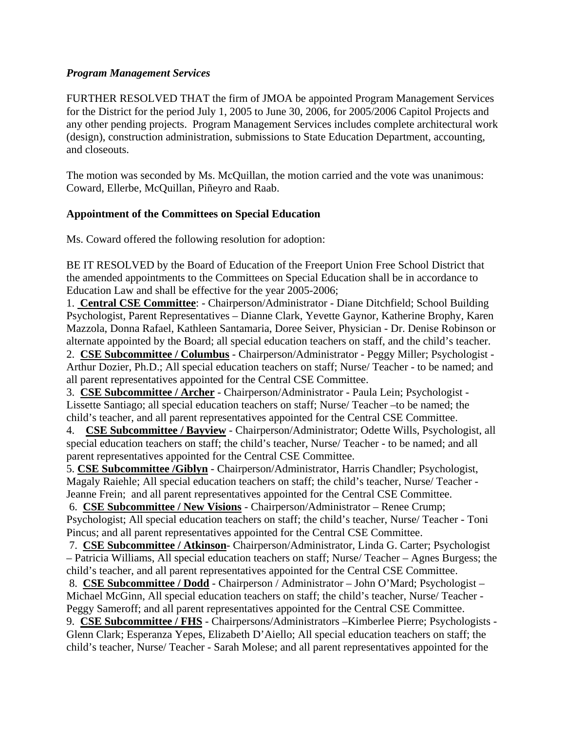## *Program Management Services*

FURTHER RESOLVED THAT the firm of JMOA be appointed Program Management Services for the District for the period July 1, 2005 to June 30, 2006, for 2005/2006 Capitol Projects and any other pending projects. Program Management Services includes complete architectural work (design), construction administration, submissions to State Education Department, accounting, and closeouts.

The motion was seconded by Ms. McQuillan, the motion carried and the vote was unanimous: Coward, Ellerbe, McQuillan, Piñeyro and Raab.

# **Appointment of the Committees on Special Education**

Ms. Coward offered the following resolution for adoption:

BE IT RESOLVED by the Board of Education of the Freeport Union Free School District that the amended appointments to the Committees on Special Education shall be in accordance to Education Law and shall be effective for the year 2005-2006;

1. **Central CSE Committee**: - Chairperson/Administrator - Diane Ditchfield; School Building Psychologist, Parent Representatives – Dianne Clark, Yevette Gaynor, Katherine Brophy, Karen Mazzola, Donna Rafael, Kathleen Santamaria, Doree Seiver, Physician - Dr. Denise Robinson or alternate appointed by the Board; all special education teachers on staff, and the child's teacher.

2. **CSE Subcommittee / Columbus** - Chairperson/Administrator - Peggy Miller; Psychologist - Arthur Dozier, Ph.D.; All special education teachers on staff; Nurse/ Teacher - to be named; and all parent representatives appointed for the Central CSE Committee.

3. **CSE Subcommittee / Archer** - Chairperson/Administrator - Paula Lein; Psychologist - Lissette Santiago; all special education teachers on staff; Nurse/ Teacher –to be named; the child's teacher, and all parent representatives appointed for the Central CSE Committee.

4. **CSE Subcommittee / Bayview** - Chairperson/Administrator; Odette Wills, Psychologist, all special education teachers on staff; the child's teacher, Nurse/ Teacher - to be named; and all parent representatives appointed for the Central CSE Committee.

5. **CSE Subcommittee /Giblyn** - Chairperson/Administrator, Harris Chandler; Psychologist, Magaly Raiehle; All special education teachers on staff; the child's teacher, Nurse/ Teacher - Jeanne Frein; and all parent representatives appointed for the Central CSE Committee.

 6. **CSE Subcommittee / New Visions** - Chairperson/Administrator – Renee Crump; Psychologist; All special education teachers on staff; the child's teacher, Nurse/ Teacher - Toni Pincus; and all parent representatives appointed for the Central CSE Committee.

 7. **CSE Subcommittee / Atkinson**- Chairperson/Administrator, Linda G. Carter; Psychologist – Patricia Williams, All special education teachers on staff; Nurse/ Teacher – Agnes Burgess; the child's teacher, and all parent representatives appointed for the Central CSE Committee.

 8. **CSE Subcommittee / Dodd** - Chairperson / Administrator – John O'Mard; Psychologist – Michael McGinn, All special education teachers on staff; the child's teacher, Nurse/ Teacher - Peggy Sameroff; and all parent representatives appointed for the Central CSE Committee.

9. **CSE Subcommittee / FHS** - Chairpersons/Administrators –Kimberlee Pierre; Psychologists - Glenn Clark; Esperanza Yepes, Elizabeth D'Aiello; All special education teachers on staff; the child's teacher, Nurse/ Teacher - Sarah Molese; and all parent representatives appointed for the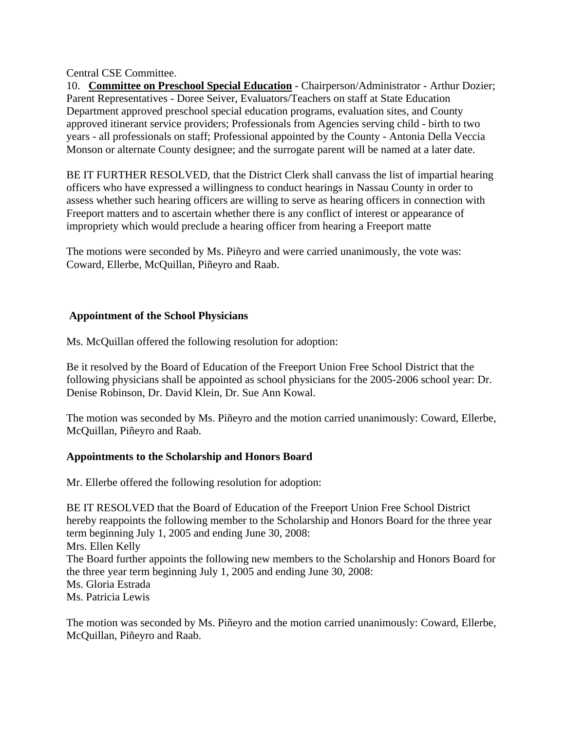Central CSE Committee.

10. **Committee on Preschool Special Education** - Chairperson/Administrator - Arthur Dozier; Parent Representatives - Doree Seiver, Evaluators/Teachers on staff at State Education Department approved preschool special education programs, evaluation sites, and County approved itinerant service providers; Professionals from Agencies serving child - birth to two years - all professionals on staff; Professional appointed by the County - Antonia Della Veccia Monson or alternate County designee; and the surrogate parent will be named at a later date.

BE IT FURTHER RESOLVED, that the District Clerk shall canvass the list of impartial hearing officers who have expressed a willingness to conduct hearings in Nassau County in order to assess whether such hearing officers are willing to serve as hearing officers in connection with Freeport matters and to ascertain whether there is any conflict of interest or appearance of impropriety which would preclude a hearing officer from hearing a Freeport matte

The motions were seconded by Ms. Piñeyro and were carried unanimously, the vote was: Coward, Ellerbe, McQuillan, Piñeyro and Raab.

## **Appointment of the School Physicians**

Ms. McQuillan offered the following resolution for adoption:

Be it resolved by the Board of Education of the Freeport Union Free School District that the following physicians shall be appointed as school physicians for the 2005-2006 school year: Dr. Denise Robinson, Dr. David Klein, Dr. Sue Ann Kowal.

The motion was seconded by Ms. Piñeyro and the motion carried unanimously: Coward, Ellerbe, McQuillan, Piñeyro and Raab.

### **Appointments to the Scholarship and Honors Board**

Mr. Ellerbe offered the following resolution for adoption:

BE IT RESOLVED that the Board of Education of the Freeport Union Free School District hereby reappoints the following member to the Scholarship and Honors Board for the three year term beginning July 1, 2005 and ending June 30, 2008: Mrs. Ellen Kelly The Board further appoints the following new members to the Scholarship and Honors Board for the three year term beginning July 1, 2005 and ending June 30, 2008: Ms. Gloria Estrada Ms. Patricia Lewis

The motion was seconded by Ms. Piñeyro and the motion carried unanimously: Coward, Ellerbe, McQuillan, Piñeyro and Raab.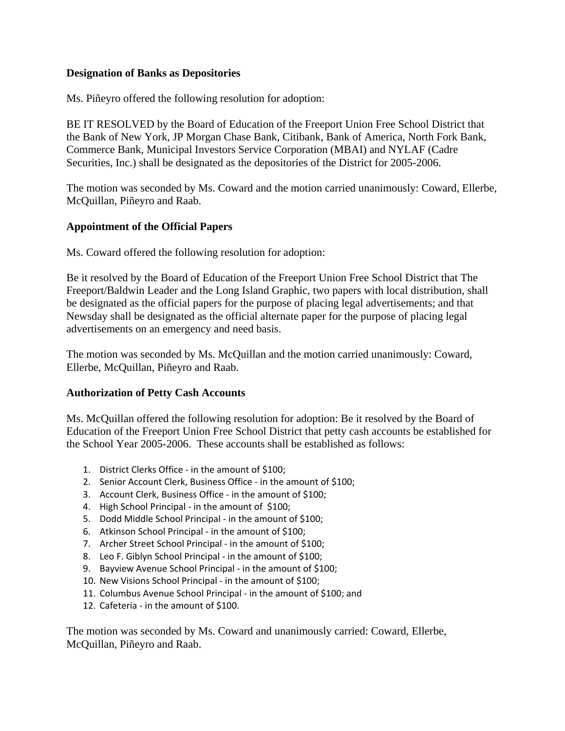## **Designation of Banks as Depositories**

Ms. Piñeyro offered the following resolution for adoption:

BE IT RESOLVED by the Board of Education of the Freeport Union Free School District that the Bank of New York, JP Morgan Chase Bank, Citibank, Bank of America, North Fork Bank, Commerce Bank, Municipal Investors Service Corporation (MBAI) and NYLAF (Cadre Securities, Inc.) shall be designated as the depositories of the District for 2005-2006.

The motion was seconded by Ms. Coward and the motion carried unanimously: Coward, Ellerbe, McQuillan, Piñeyro and Raab.

## **Appointment of the Official Papers**

Ms. Coward offered the following resolution for adoption:

Be it resolved by the Board of Education of the Freeport Union Free School District that The Freeport/Baldwin Leader and the Long Island Graphic, two papers with local distribution, shall be designated as the official papers for the purpose of placing legal advertisements; and that Newsday shall be designated as the official alternate paper for the purpose of placing legal advertisements on an emergency and need basis.

The motion was seconded by Ms. McQuillan and the motion carried unanimously: Coward, Ellerbe, McQuillan, Piñeyro and Raab.

# **Authorization of Petty Cash Accounts**

Ms. McQuillan offered the following resolution for adoption: Be it resolved by the Board of Education of the Freeport Union Free School District that petty cash accounts be established for the School Year 2005-2006. These accounts shall be established as follows:

- 1. District Clerks Office ‐ in the amount of \$100;
- 2. Senior Account Clerk, Business Office in the amount of \$100;
- 3. Account Clerk, Business Office ‐ in the amount of \$100;
- 4. High School Principal in the amount of \$100;
- 5. Dodd Middle School Principal in the amount of \$100;
- 6. Atkinson School Principal ‐ in the amount of \$100;
- 7. Archer Street School Principal ‐ in the amount of \$100;
- 8. Leo F. Giblyn School Principal in the amount of \$100;
- 9. Bayview Avenue School Principal in the amount of \$100;
- 10. New Visions School Principal ‐ in the amount of \$100;
- 11. Columbus Avenue School Principal ‐ in the amount of \$100; and
- 12. Cafeteria ‐ in the amount of \$100.

The motion was seconded by Ms. Coward and unanimously carried: Coward, Ellerbe, McQuillan, Piñeyro and Raab.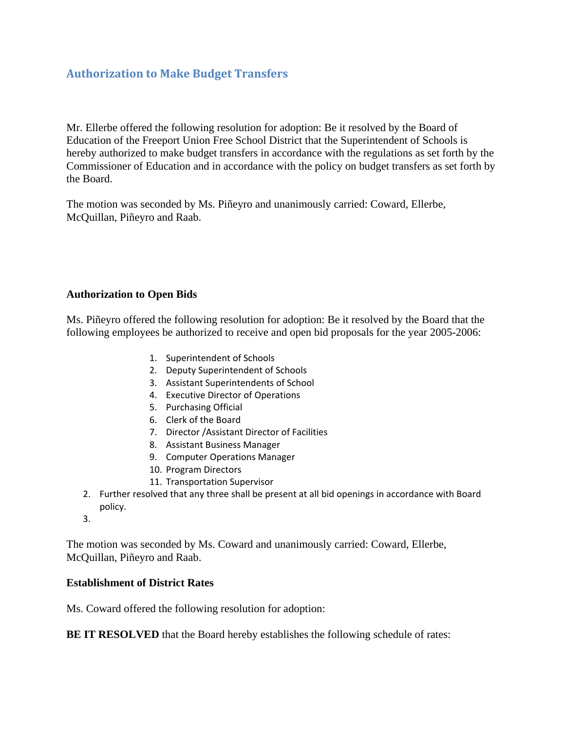# **Authorization to Make Budget Transfers**

Mr. Ellerbe offered the following resolution for adoption: Be it resolved by the Board of Education of the Freeport Union Free School District that the Superintendent of Schools is hereby authorized to make budget transfers in accordance with the regulations as set forth by the Commissioner of Education and in accordance with the policy on budget transfers as set forth by the Board.

The motion was seconded by Ms. Piñeyro and unanimously carried: Coward, Ellerbe, McQuillan, Piñeyro and Raab.

## **Authorization to Open Bids**

Ms. Piñeyro offered the following resolution for adoption: Be it resolved by the Board that the following employees be authorized to receive and open bid proposals for the year 2005-2006:

- 1. Superintendent of Schools
- 2. Deputy Superintendent of Schools
- 3. Assistant Superintendents of School
- 4. Executive Director of Operations
- 5. Purchasing Official
- 6. Clerk of the Board
- 7. Director /Assistant Director of Facilities
- 8. Assistant Business Manager
- 9. Computer Operations Manager
- 10. Program Directors
- 11. Transportation Supervisor
- 2. Further resolved that any three shall be present at all bid openings in accordance with Board policy.
- 3.

The motion was seconded by Ms. Coward and unanimously carried: Coward, Ellerbe, McQuillan, Piñeyro and Raab.

### **Establishment of District Rates**

Ms. Coward offered the following resolution for adoption:

**BE IT RESOLVED** that the Board hereby establishes the following schedule of rates: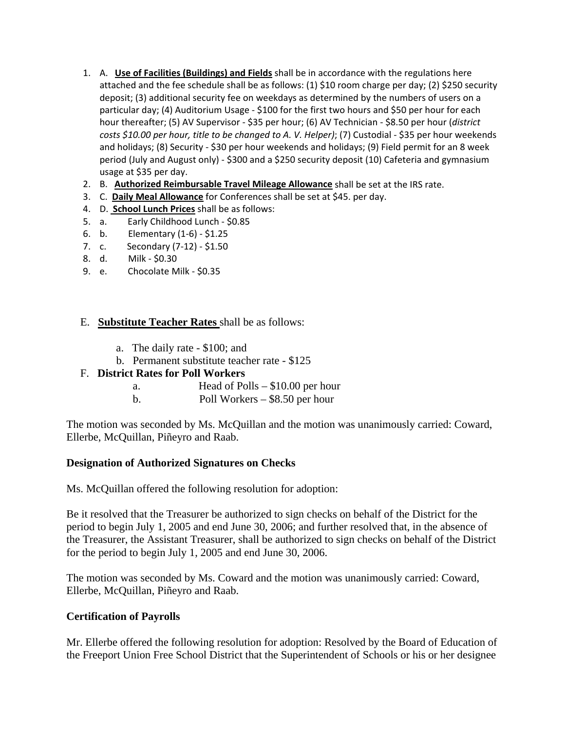- 1. A. **Use of Facilities (Buildings) and Fields** shall be in accordance with the regulations here attached and the fee schedule shall be as follows: (1) \$10 room charge per day; (2) \$250 security deposit; (3) additional security fee on weekdays as determined by the numbers of users on a particular day; (4) Auditorium Usage - \$100 for the first two hours and \$50 per hour for each hour thereafter; (5) AV Supervisor ‐ \$35 per hour; (6) AV Technician ‐ \$8.50 per hour (*district costs \$10.00 per hour, title to be changed to A. V. Helper)*; (7) Custodial ‐ \$35 per hour weekends and holidays; (8) Security - \$30 per hour weekends and holidays; (9) Field permit for an 8 week period (July and August only) ‐ \$300 and a \$250 security deposit (10) Cafeteria and gymnasium usage at \$35 per day.
- 2. B. **Authorized Reimbursable Travel Mileage Allowance** shall be set at the IRS rate.
- 3. C. **Daily Meal Allowance** for Conferences shall be set at \$45. per day.
- 4. D. **School Lunch Prices** shall be as follows:
- 5. a. Early Childhood Lunch \$0.85
- 6. b. Elementary (1‐6) ‐ \$1.25
- 7. c. Secondary (7‐12) ‐ \$1.50
- 8. d. Milk ‐ \$0.30
- 9. e. Chocolate Milk \$0.35

## E. **Substitute Teacher Rates** shall be as follows:

- a. The daily rate \$100; and
- b. Permanent substitute teacher rate \$125

# F. **District Rates for Poll Workers**

- a. Head of Polls \$10.00 per hour
- b. Poll Workers \$8.50 per hour

The motion was seconded by Ms. McQuillan and the motion was unanimously carried: Coward, Ellerbe, McQuillan, Piñeyro and Raab.

### **Designation of Authorized Signatures on Checks**

Ms. McQuillan offered the following resolution for adoption:

Be it resolved that the Treasurer be authorized to sign checks on behalf of the District for the period to begin July 1, 2005 and end June 30, 2006; and further resolved that, in the absence of the Treasurer, the Assistant Treasurer, shall be authorized to sign checks on behalf of the District for the period to begin July 1, 2005 and end June 30, 2006.

The motion was seconded by Ms. Coward and the motion was unanimously carried: Coward, Ellerbe, McQuillan, Piñeyro and Raab.

# **Certification of Payrolls**

Mr. Ellerbe offered the following resolution for adoption: Resolved by the Board of Education of the Freeport Union Free School District that the Superintendent of Schools or his or her designee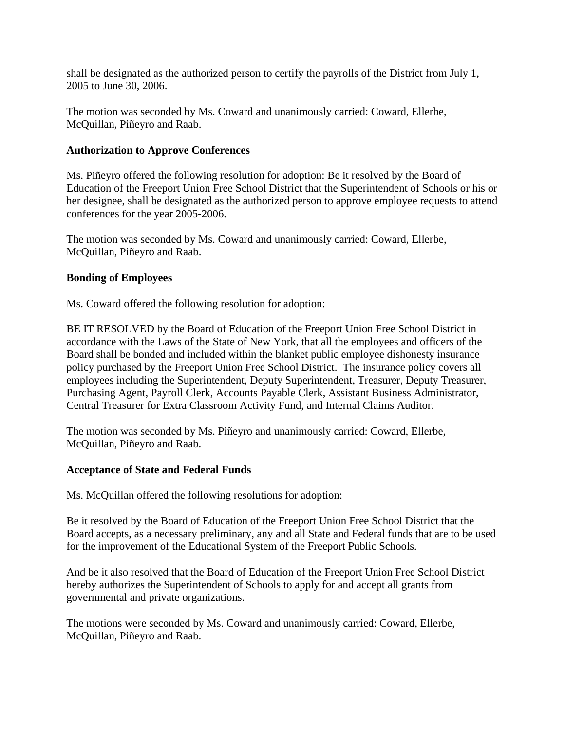shall be designated as the authorized person to certify the payrolls of the District from July 1, 2005 to June 30, 2006.

The motion was seconded by Ms. Coward and unanimously carried: Coward, Ellerbe, McQuillan, Piñeyro and Raab.

## **Authorization to Approve Conferences**

Ms. Piñeyro offered the following resolution for adoption: Be it resolved by the Board of Education of the Freeport Union Free School District that the Superintendent of Schools or his or her designee, shall be designated as the authorized person to approve employee requests to attend conferences for the year 2005-2006.

The motion was seconded by Ms. Coward and unanimously carried: Coward, Ellerbe, McQuillan, Piñeyro and Raab.

## **Bonding of Employees**

Ms. Coward offered the following resolution for adoption:

BE IT RESOLVED by the Board of Education of the Freeport Union Free School District in accordance with the Laws of the State of New York, that all the employees and officers of the Board shall be bonded and included within the blanket public employee dishonesty insurance policy purchased by the Freeport Union Free School District. The insurance policy covers all employees including the Superintendent, Deputy Superintendent, Treasurer, Deputy Treasurer, Purchasing Agent, Payroll Clerk, Accounts Payable Clerk, Assistant Business Administrator, Central Treasurer for Extra Classroom Activity Fund, and Internal Claims Auditor.

The motion was seconded by Ms. Piñeyro and unanimously carried: Coward, Ellerbe, McQuillan, Piñeyro and Raab.

### **Acceptance of State and Federal Funds**

Ms. McQuillan offered the following resolutions for adoption:

Be it resolved by the Board of Education of the Freeport Union Free School District that the Board accepts, as a necessary preliminary, any and all State and Federal funds that are to be used for the improvement of the Educational System of the Freeport Public Schools.

And be it also resolved that the Board of Education of the Freeport Union Free School District hereby authorizes the Superintendent of Schools to apply for and accept all grants from governmental and private organizations.

The motions were seconded by Ms. Coward and unanimously carried: Coward, Ellerbe, McQuillan, Piñeyro and Raab.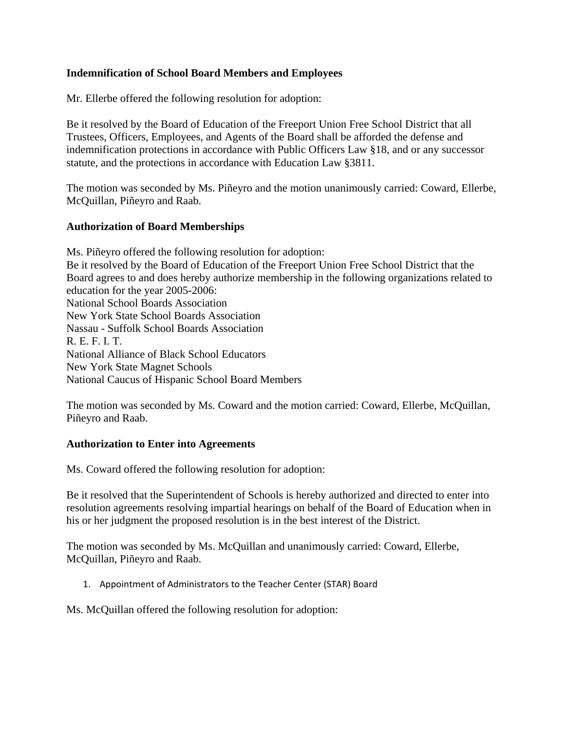# **Indemnification of School Board Members and Employees**

Mr. Ellerbe offered the following resolution for adoption:

Be it resolved by the Board of Education of the Freeport Union Free School District that all Trustees, Officers, Employees, and Agents of the Board shall be afforded the defense and indemnification protections in accordance with Public Officers Law §18, and or any successor statute, and the protections in accordance with Education Law §3811.

The motion was seconded by Ms. Piñeyro and the motion unanimously carried: Coward, Ellerbe, McQuillan, Piñeyro and Raab.

### **Authorization of Board Memberships**

Ms. Piñeyro offered the following resolution for adoption: Be it resolved by the Board of Education of the Freeport Union Free School District that the Board agrees to and does hereby authorize membership in the following organizations related to education for the year 2005-2006: National School Boards Association New York State School Boards Association Nassau - Suffolk School Boards Association R. E. F. I. T. National Alliance of Black School Educators New York State Magnet Schools National Caucus of Hispanic School Board Members

The motion was seconded by Ms. Coward and the motion carried: Coward, Ellerbe, McQuillan, Piñeyro and Raab.

### **Authorization to Enter into Agreements**

Ms. Coward offered the following resolution for adoption:

Be it resolved that the Superintendent of Schools is hereby authorized and directed to enter into resolution agreements resolving impartial hearings on behalf of the Board of Education when in his or her judgment the proposed resolution is in the best interest of the District.

The motion was seconded by Ms. McQuillan and unanimously carried: Coward, Ellerbe, McQuillan, Piñeyro and Raab.

1. Appointment of Administrators to the Teacher Center (STAR) Board

Ms. McQuillan offered the following resolution for adoption: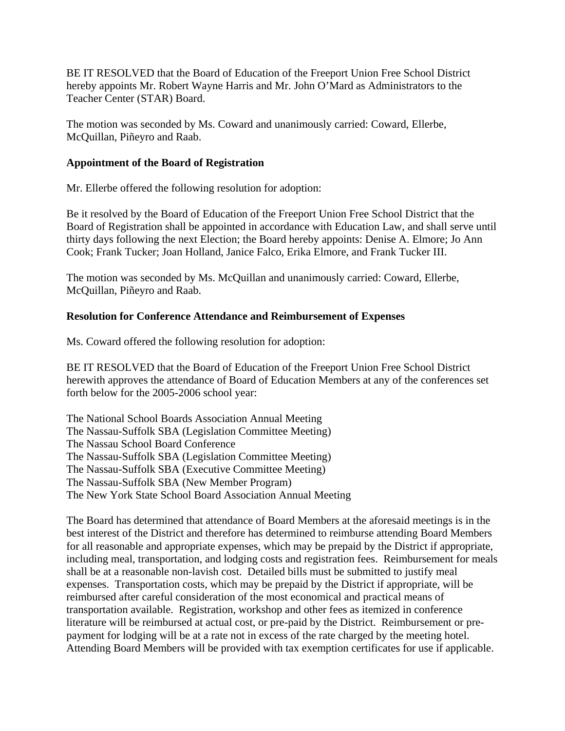BE IT RESOLVED that the Board of Education of the Freeport Union Free School District hereby appoints Mr. Robert Wayne Harris and Mr. John O'Mard as Administrators to the Teacher Center (STAR) Board.

The motion was seconded by Ms. Coward and unanimously carried: Coward, Ellerbe, McQuillan, Piñeyro and Raab.

### **Appointment of the Board of Registration**

Mr. Ellerbe offered the following resolution for adoption:

Be it resolved by the Board of Education of the Freeport Union Free School District that the Board of Registration shall be appointed in accordance with Education Law, and shall serve until thirty days following the next Election; the Board hereby appoints: Denise A. Elmore; Jo Ann Cook; Frank Tucker; Joan Holland, Janice Falco, Erika Elmore, and Frank Tucker III.

The motion was seconded by Ms. McQuillan and unanimously carried: Coward, Ellerbe, McQuillan, Piñeyro and Raab.

# **Resolution for Conference Attendance and Reimbursement of Expenses**

Ms. Coward offered the following resolution for adoption:

BE IT RESOLVED that the Board of Education of the Freeport Union Free School District herewith approves the attendance of Board of Education Members at any of the conferences set forth below for the 2005-2006 school year:

The National School Boards Association Annual Meeting The Nassau-Suffolk SBA (Legislation Committee Meeting) The Nassau School Board Conference The Nassau-Suffolk SBA (Legislation Committee Meeting) The Nassau-Suffolk SBA (Executive Committee Meeting) The Nassau-Suffolk SBA (New Member Program) The New York State School Board Association Annual Meeting

The Board has determined that attendance of Board Members at the aforesaid meetings is in the best interest of the District and therefore has determined to reimburse attending Board Members for all reasonable and appropriate expenses, which may be prepaid by the District if appropriate, including meal, transportation, and lodging costs and registration fees. Reimbursement for meals shall be at a reasonable non-lavish cost. Detailed bills must be submitted to justify meal expenses. Transportation costs, which may be prepaid by the District if appropriate, will be reimbursed after careful consideration of the most economical and practical means of transportation available. Registration, workshop and other fees as itemized in conference literature will be reimbursed at actual cost, or pre-paid by the District. Reimbursement or prepayment for lodging will be at a rate not in excess of the rate charged by the meeting hotel. Attending Board Members will be provided with tax exemption certificates for use if applicable.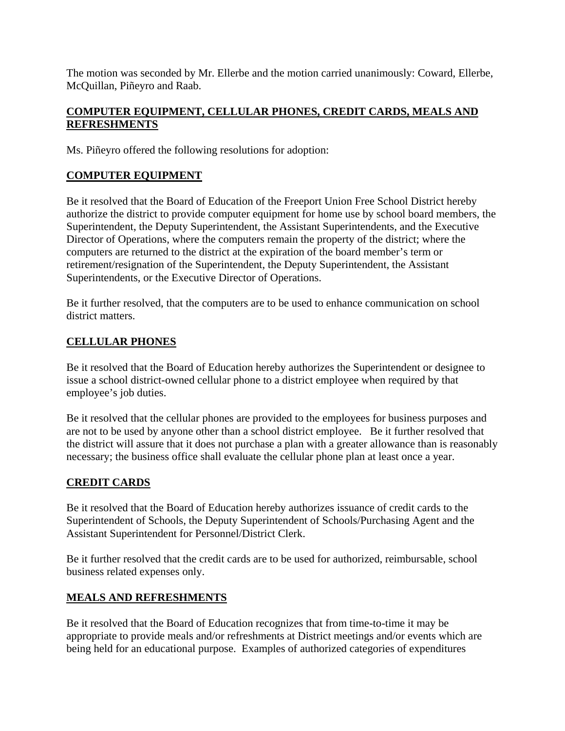The motion was seconded by Mr. Ellerbe and the motion carried unanimously: Coward, Ellerbe, McQuillan, Piñeyro and Raab.

# **COMPUTER EQUIPMENT, CELLULAR PHONES, CREDIT CARDS, MEALS AND REFRESHMENTS**

Ms. Piñeyro offered the following resolutions for adoption:

# **COMPUTER EQUIPMENT**

Be it resolved that the Board of Education of the Freeport Union Free School District hereby authorize the district to provide computer equipment for home use by school board members, the Superintendent, the Deputy Superintendent, the Assistant Superintendents, and the Executive Director of Operations, where the computers remain the property of the district; where the computers are returned to the district at the expiration of the board member's term or retirement/resignation of the Superintendent, the Deputy Superintendent, the Assistant Superintendents, or the Executive Director of Operations.

Be it further resolved, that the computers are to be used to enhance communication on school district matters.

# **CELLULAR PHONES**

Be it resolved that the Board of Education hereby authorizes the Superintendent or designee to issue a school district-owned cellular phone to a district employee when required by that employee's job duties.

Be it resolved that the cellular phones are provided to the employees for business purposes and are not to be used by anyone other than a school district employee. Be it further resolved that the district will assure that it does not purchase a plan with a greater allowance than is reasonably necessary; the business office shall evaluate the cellular phone plan at least once a year.

# **CREDIT CARDS**

Be it resolved that the Board of Education hereby authorizes issuance of credit cards to the Superintendent of Schools, the Deputy Superintendent of Schools/Purchasing Agent and the Assistant Superintendent for Personnel/District Clerk.

Be it further resolved that the credit cards are to be used for authorized, reimbursable, school business related expenses only.

# **MEALS AND REFRESHMENTS**

Be it resolved that the Board of Education recognizes that from time-to-time it may be appropriate to provide meals and/or refreshments at District meetings and/or events which are being held for an educational purpose. Examples of authorized categories of expenditures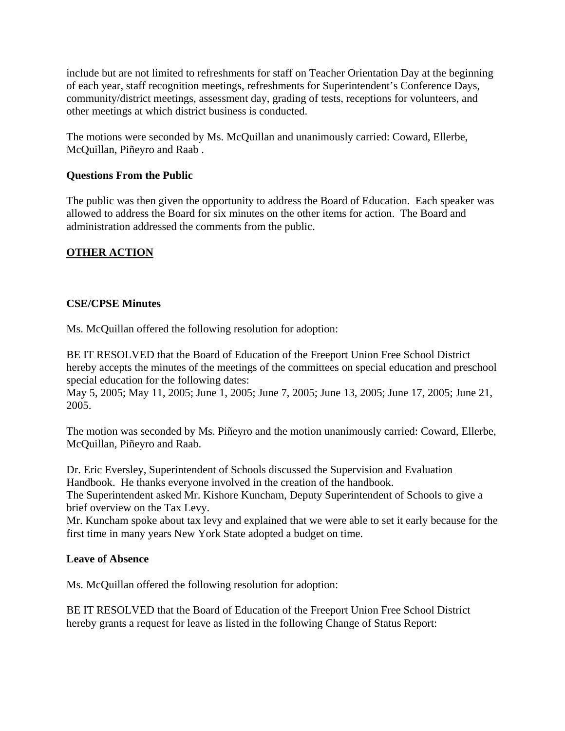include but are not limited to refreshments for staff on Teacher Orientation Day at the beginning of each year, staff recognition meetings, refreshments for Superintendent's Conference Days, community/district meetings, assessment day, grading of tests, receptions for volunteers, and other meetings at which district business is conducted.

The motions were seconded by Ms. McQuillan and unanimously carried: Coward, Ellerbe, McQuillan, Piñeyro and Raab .

# **Questions From the Public**

The public was then given the opportunity to address the Board of Education. Each speaker was allowed to address the Board for six minutes on the other items for action. The Board and administration addressed the comments from the public.

# **OTHER ACTION**

## **CSE/CPSE Minutes**

Ms. McQuillan offered the following resolution for adoption:

BE IT RESOLVED that the Board of Education of the Freeport Union Free School District hereby accepts the minutes of the meetings of the committees on special education and preschool special education for the following dates:

May 5, 2005; May 11, 2005; June 1, 2005; June 7, 2005; June 13, 2005; June 17, 2005; June 21, 2005.

The motion was seconded by Ms. Piñeyro and the motion unanimously carried: Coward, Ellerbe, McQuillan, Piñeyro and Raab.

Dr. Eric Eversley, Superintendent of Schools discussed the Supervision and Evaluation Handbook. He thanks everyone involved in the creation of the handbook.

The Superintendent asked Mr. Kishore Kuncham, Deputy Superintendent of Schools to give a brief overview on the Tax Levy.

Mr. Kuncham spoke about tax levy and explained that we were able to set it early because for the first time in many years New York State adopted a budget on time.

### **Leave of Absence**

Ms. McQuillan offered the following resolution for adoption:

BE IT RESOLVED that the Board of Education of the Freeport Union Free School District hereby grants a request for leave as listed in the following Change of Status Report: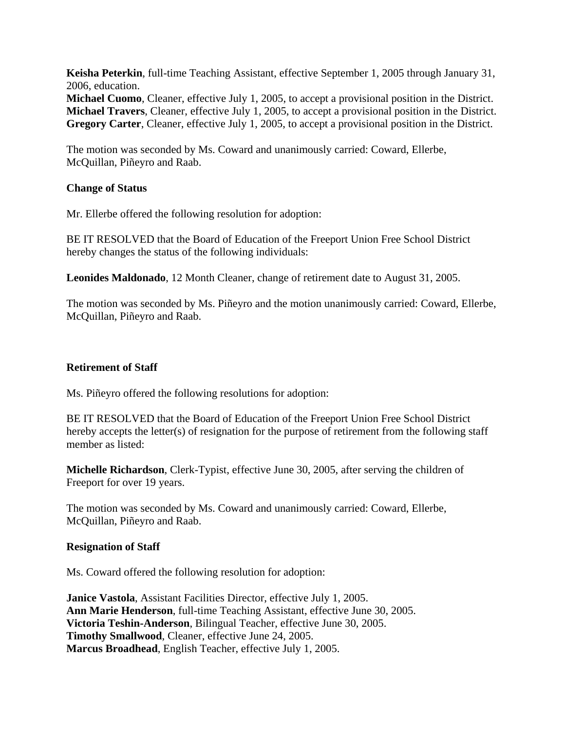**Keisha Peterkin**, full-time Teaching Assistant, effective September 1, 2005 through January 31, 2006, education.

**Michael Cuomo**, Cleaner, effective July 1, 2005, to accept a provisional position in the District. **Michael Travers**, Cleaner, effective July 1, 2005, to accept a provisional position in the District. **Gregory Carter**, Cleaner, effective July 1, 2005, to accept a provisional position in the District.

The motion was seconded by Ms. Coward and unanimously carried: Coward, Ellerbe, McQuillan, Piñeyro and Raab.

### **Change of Status**

Mr. Ellerbe offered the following resolution for adoption:

BE IT RESOLVED that the Board of Education of the Freeport Union Free School District hereby changes the status of the following individuals:

**Leonides Maldonado**, 12 Month Cleaner, change of retirement date to August 31, 2005.

The motion was seconded by Ms. Piñeyro and the motion unanimously carried: Coward, Ellerbe, McQuillan, Piñeyro and Raab.

# **Retirement of Staff**

Ms. Piñeyro offered the following resolutions for adoption:

BE IT RESOLVED that the Board of Education of the Freeport Union Free School District hereby accepts the letter(s) of resignation for the purpose of retirement from the following staff member as listed:

**Michelle Richardson**, Clerk-Typist, effective June 30, 2005, after serving the children of Freeport for over 19 years.

The motion was seconded by Ms. Coward and unanimously carried: Coward, Ellerbe, McQuillan, Piñeyro and Raab.

### **Resignation of Staff**

Ms. Coward offered the following resolution for adoption:

**Janice Vastola**, Assistant Facilities Director, effective July 1, 2005. **Ann Marie Henderson**, full-time Teaching Assistant, effective June 30, 2005. **Victoria Teshin-Anderson**, Bilingual Teacher, effective June 30, 2005. **Timothy Smallwood**, Cleaner, effective June 24, 2005. **Marcus Broadhead**, English Teacher, effective July 1, 2005.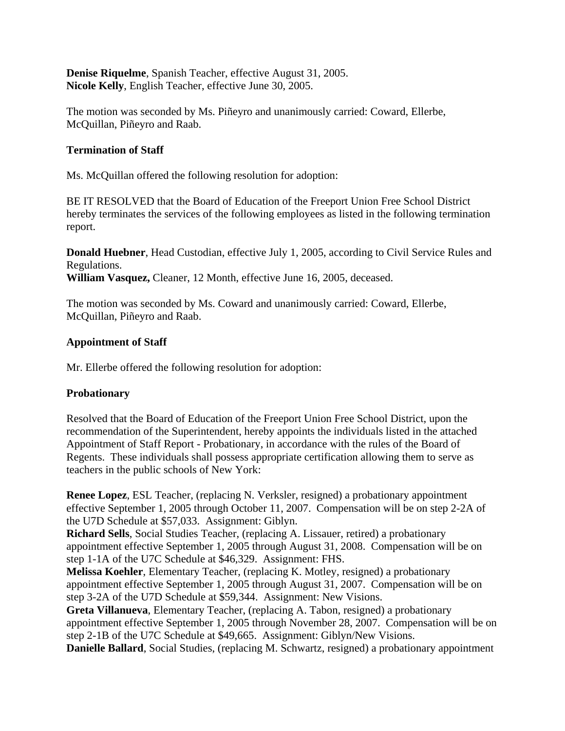**Denise Riquelme**, Spanish Teacher, effective August 31, 2005. **Nicole Kelly**, English Teacher, effective June 30, 2005.

The motion was seconded by Ms. Piñeyro and unanimously carried: Coward, Ellerbe, McQuillan, Piñeyro and Raab.

## **Termination of Staff**

Ms. McQuillan offered the following resolution for adoption:

BE IT RESOLVED that the Board of Education of the Freeport Union Free School District hereby terminates the services of the following employees as listed in the following termination report.

**Donald Huebner**, Head Custodian, effective July 1, 2005, according to Civil Service Rules and Regulations. **William Vasquez,** Cleaner, 12 Month, effective June 16, 2005, deceased.

The motion was seconded by Ms. Coward and unanimously carried: Coward, Ellerbe, McQuillan, Piñeyro and Raab.

### **Appointment of Staff**

Mr. Ellerbe offered the following resolution for adoption:

# **Probationary**

Resolved that the Board of Education of the Freeport Union Free School District, upon the recommendation of the Superintendent, hereby appoints the individuals listed in the attached Appointment of Staff Report - Probationary, in accordance with the rules of the Board of Regents. These individuals shall possess appropriate certification allowing them to serve as teachers in the public schools of New York:

**Renee Lopez**, ESL Teacher, (replacing N. Verksler, resigned) a probationary appointment effective September 1, 2005 through October 11, 2007. Compensation will be on step 2-2A of the U7D Schedule at \$57,033. Assignment: Giblyn.

**Richard Sells**, Social Studies Teacher, (replacing A. Lissauer, retired) a probationary appointment effective September 1, 2005 through August 31, 2008. Compensation will be on step 1-1A of the U7C Schedule at \$46,329. Assignment: FHS.

**Melissa Koehler**, Elementary Teacher, (replacing K. Motley, resigned) a probationary appointment effective September 1, 2005 through August 31, 2007. Compensation will be on step 3-2A of the U7D Schedule at \$59,344. Assignment: New Visions.

**Greta Villanueva**, Elementary Teacher, (replacing A. Tabon, resigned) a probationary appointment effective September 1, 2005 through November 28, 2007. Compensation will be on step 2-1B of the U7C Schedule at \$49,665. Assignment: Giblyn/New Visions. **Danielle Ballard**, Social Studies, (replacing M. Schwartz, resigned) a probationary appointment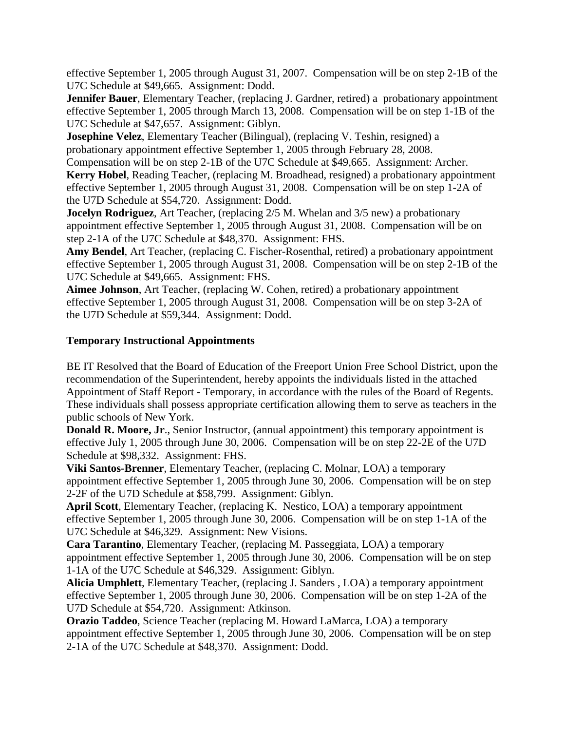effective September 1, 2005 through August 31, 2007. Compensation will be on step 2-1B of the U7C Schedule at \$49,665. Assignment: Dodd.

**Jennifer Bauer**, Elementary Teacher, (replacing J. Gardner, retired) a probationary appointment effective September 1, 2005 through March 13, 2008. Compensation will be on step 1-1B of the U7C Schedule at \$47,657. Assignment: Giblyn.

**Josephine Velez**, Elementary Teacher (Bilingual), (replacing V. Teshin, resigned) a probationary appointment effective September 1, 2005 through February 28, 2008.

Compensation will be on step 2-1B of the U7C Schedule at \$49,665. Assignment: Archer. **Kerry Hobel**, Reading Teacher, (replacing M. Broadhead, resigned) a probationary appointment effective September 1, 2005 through August 31, 2008. Compensation will be on step 1-2A of the U7D Schedule at \$54,720. Assignment: Dodd.

**Jocelyn Rodriguez**, Art Teacher, (replacing  $2/5$  M. Whelan and  $3/5$  new) a probationary appointment effective September 1, 2005 through August 31, 2008. Compensation will be on step 2-1A of the U7C Schedule at \$48,370. Assignment: FHS.

**Amy Bendel**, Art Teacher, (replacing C. Fischer-Rosenthal, retired) a probationary appointment effective September 1, 2005 through August 31, 2008. Compensation will be on step 2-1B of the U7C Schedule at \$49,665. Assignment: FHS.

**Aimee Johnson**, Art Teacher, (replacing W. Cohen, retired) a probationary appointment effective September 1, 2005 through August 31, 2008. Compensation will be on step 3-2A of the U7D Schedule at \$59,344. Assignment: Dodd.

## **Temporary Instructional Appointments**

BE IT Resolved that the Board of Education of the Freeport Union Free School District, upon the recommendation of the Superintendent, hereby appoints the individuals listed in the attached Appointment of Staff Report - Temporary, in accordance with the rules of the Board of Regents. These individuals shall possess appropriate certification allowing them to serve as teachers in the public schools of New York.

**Donald R. Moore, Jr.**, Senior Instructor, (annual appointment) this temporary appointment is effective July 1, 2005 through June 30, 2006. Compensation will be on step 22-2E of the U7D Schedule at \$98,332. Assignment: FHS.

**Viki Santos-Brenner**, Elementary Teacher, (replacing C. Molnar, LOA) a temporary appointment effective September 1, 2005 through June 30, 2006. Compensation will be on step 2-2F of the U7D Schedule at \$58,799. Assignment: Giblyn.

**April Scott**, Elementary Teacher, (replacing K. Nestico, LOA) a temporary appointment effective September 1, 2005 through June 30, 2006. Compensation will be on step 1-1A of the U7C Schedule at \$46,329. Assignment: New Visions.

**Cara Tarantino**, Elementary Teacher, (replacing M. Passeggiata, LOA) a temporary appointment effective September 1, 2005 through June 30, 2006. Compensation will be on step 1-1A of the U7C Schedule at \$46,329. Assignment: Giblyn.

**Alicia Umphlett**, Elementary Teacher, (replacing J. Sanders , LOA) a temporary appointment effective September 1, 2005 through June 30, 2006. Compensation will be on step 1-2A of the U7D Schedule at \$54,720. Assignment: Atkinson.

**Orazio Taddeo**, Science Teacher (replacing M. Howard LaMarca, LOA) a temporary appointment effective September 1, 2005 through June 30, 2006. Compensation will be on step 2-1A of the U7C Schedule at \$48,370. Assignment: Dodd.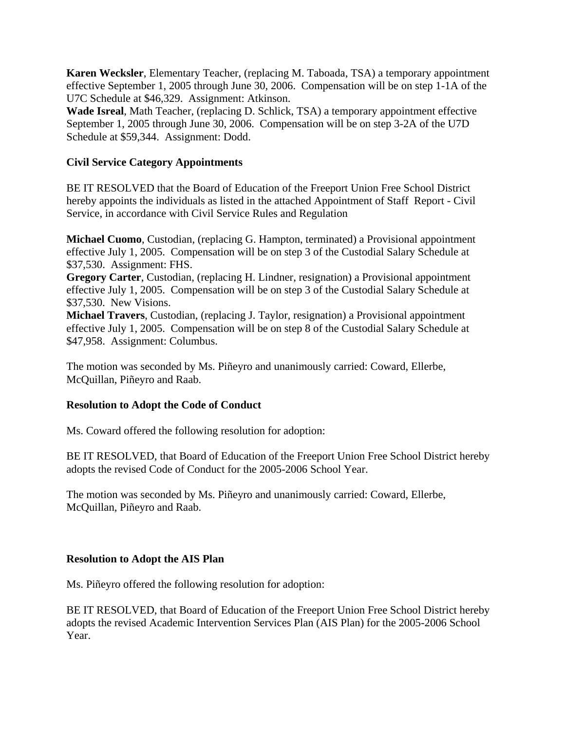**Karen Wecksler**, Elementary Teacher, (replacing M. Taboada, TSA) a temporary appointment effective September 1, 2005 through June 30, 2006. Compensation will be on step 1-1A of the U7C Schedule at \$46,329. Assignment: Atkinson.

**Wade Isreal**, Math Teacher, (replacing D. Schlick, TSA) a temporary appointment effective September 1, 2005 through June 30, 2006. Compensation will be on step 3-2A of the U7D Schedule at \$59,344. Assignment: Dodd.

## **Civil Service Category Appointments**

BE IT RESOLVED that the Board of Education of the Freeport Union Free School District hereby appoints the individuals as listed in the attached Appointment of Staff Report - Civil Service, in accordance with Civil Service Rules and Regulation

**Michael Cuomo**, Custodian, (replacing G. Hampton, terminated) a Provisional appointment effective July 1, 2005. Compensation will be on step 3 of the Custodial Salary Schedule at \$37,530. Assignment: FHS.

**Gregory Carter**, Custodian, (replacing H. Lindner, resignation) a Provisional appointment effective July 1, 2005. Compensation will be on step 3 of the Custodial Salary Schedule at \$37,530. New Visions.

**Michael Travers**, Custodian, (replacing J. Taylor, resignation) a Provisional appointment effective July 1, 2005. Compensation will be on step 8 of the Custodial Salary Schedule at \$47,958. Assignment: Columbus.

The motion was seconded by Ms. Piñeyro and unanimously carried: Coward, Ellerbe, McQuillan, Piñeyro and Raab.

### **Resolution to Adopt the Code of Conduct**

Ms. Coward offered the following resolution for adoption:

BE IT RESOLVED, that Board of Education of the Freeport Union Free School District hereby adopts the revised Code of Conduct for the 2005-2006 School Year.

The motion was seconded by Ms. Piñeyro and unanimously carried: Coward, Ellerbe, McQuillan, Piñeyro and Raab.

# **Resolution to Adopt the AIS Plan**

Ms. Piñeyro offered the following resolution for adoption:

BE IT RESOLVED, that Board of Education of the Freeport Union Free School District hereby adopts the revised Academic Intervention Services Plan (AIS Plan) for the 2005-2006 School Year.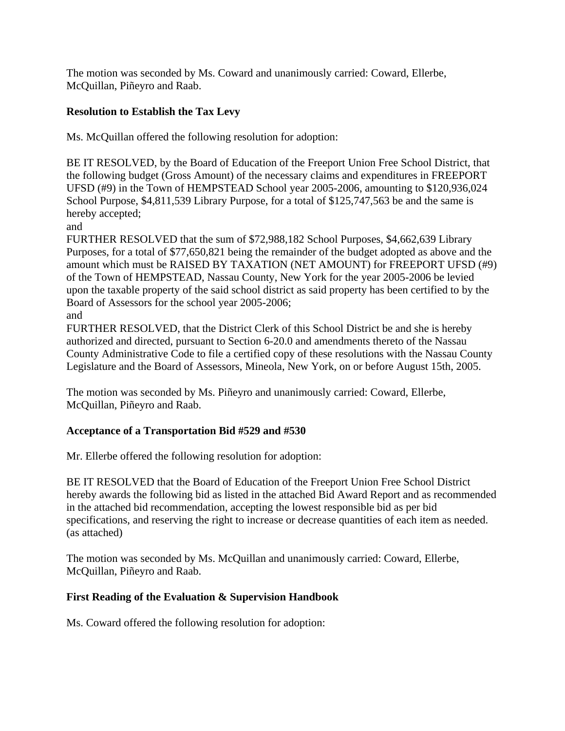The motion was seconded by Ms. Coward and unanimously carried: Coward, Ellerbe, McQuillan, Piñeyro and Raab.

# **Resolution to Establish the Tax Levy**

Ms. McQuillan offered the following resolution for adoption:

BE IT RESOLVED, by the Board of Education of the Freeport Union Free School District, that the following budget (Gross Amount) of the necessary claims and expenditures in FREEPORT UFSD (#9) in the Town of HEMPSTEAD School year 2005-2006, amounting to \$120,936,024 School Purpose, \$4,811,539 Library Purpose, for a total of \$125,747,563 be and the same is hereby accepted;

and

FURTHER RESOLVED that the sum of \$72,988,182 School Purposes, \$4,662,639 Library Purposes, for a total of \$77,650,821 being the remainder of the budget adopted as above and the amount which must be RAISED BY TAXATION (NET AMOUNT) for FREEPORT UFSD (#9) of the Town of HEMPSTEAD, Nassau County, New York for the year 2005-2006 be levied upon the taxable property of the said school district as said property has been certified to by the Board of Assessors for the school year 2005-2006;

and

FURTHER RESOLVED, that the District Clerk of this School District be and she is hereby authorized and directed, pursuant to Section 6-20.0 and amendments thereto of the Nassau County Administrative Code to file a certified copy of these resolutions with the Nassau County Legislature and the Board of Assessors, Mineola, New York, on or before August 15th, 2005.

The motion was seconded by Ms. Piñeyro and unanimously carried: Coward, Ellerbe, McQuillan, Piñeyro and Raab.

# **Acceptance of a Transportation Bid #529 and #530**

Mr. Ellerbe offered the following resolution for adoption:

BE IT RESOLVED that the Board of Education of the Freeport Union Free School District hereby awards the following bid as listed in the attached Bid Award Report and as recommended in the attached bid recommendation, accepting the lowest responsible bid as per bid specifications, and reserving the right to increase or decrease quantities of each item as needed. (as attached)

The motion was seconded by Ms. McQuillan and unanimously carried: Coward, Ellerbe, McQuillan, Piñeyro and Raab.

# **First Reading of the Evaluation & Supervision Handbook**

Ms. Coward offered the following resolution for adoption: